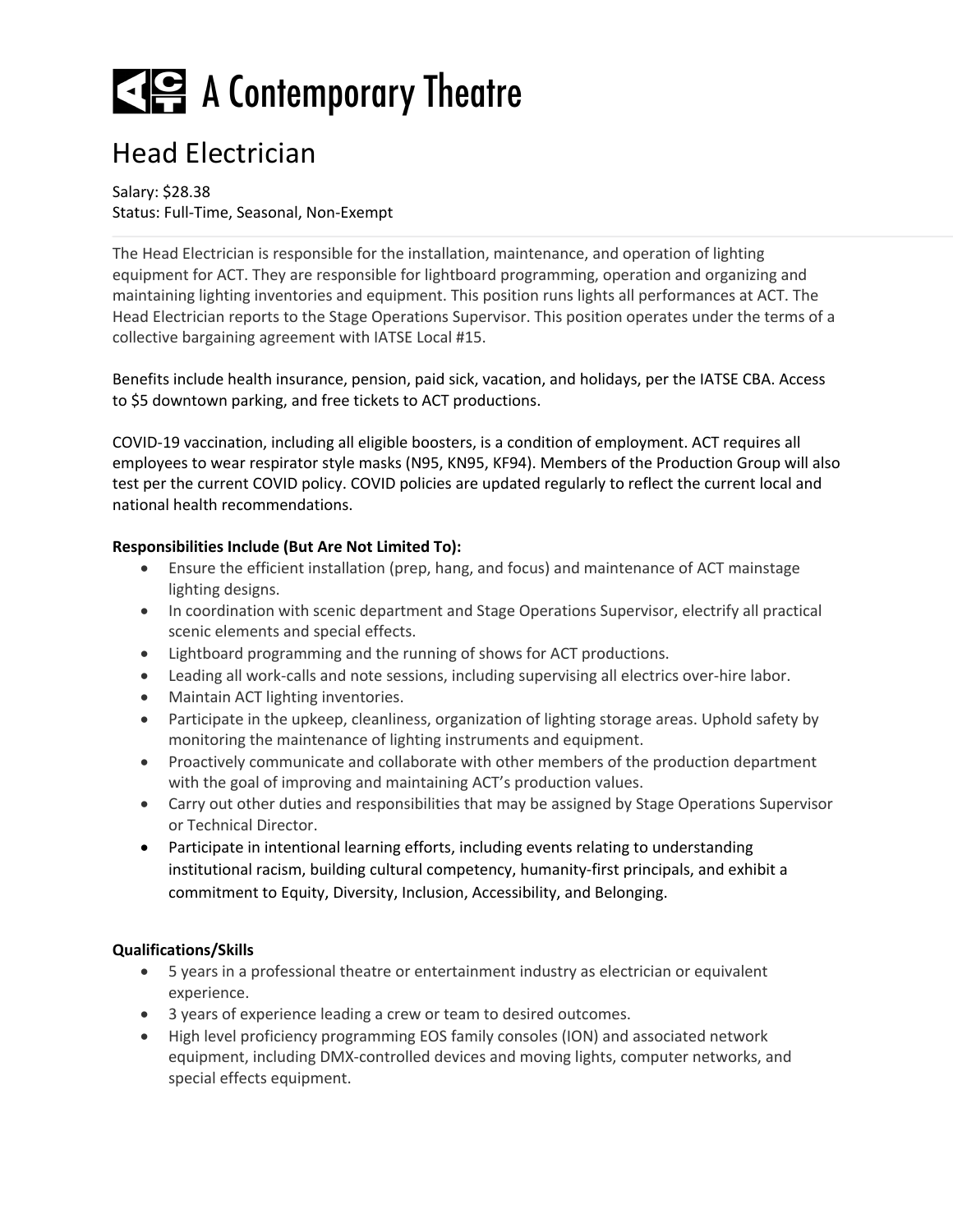# E A Contemporary Theatre

### Head Electrician

#### Salary: \$28.38 Status: Full-Time, Seasonal, Non-Exempt

The Head Electrician is responsible for the installation, maintenance, and operation of lighting equipment for ACT. They are responsible for lightboard programming, operation and organizing and maintaining lighting inventories and equipment. This position runs lights all performances at ACT. The Head Electrician reports to the Stage Operations Supervisor. This position operates under the terms of a collective bargaining agreement with IATSE Local #15.

Benefits include health insurance, pension, paid sick, vacation, and holidays, per the IATSE CBA. Access to \$5 downtown parking, and free tickets to ACT productions.

COVID-19 vaccination, including all eligible boosters, is a condition of employment. ACT requires all employees to wear respirator style masks (N95, KN95, KF94). Members of the Production Group will also test per the current COVID policy. COVID policies are updated regularly to reflect the current local and national health recommendations.

#### **Responsibilities Include (But Are Not Limited To):**

- Ensure the efficient installation (prep, hang, and focus) and maintenance of ACT mainstage lighting designs.
- In coordination with scenic department and Stage Operations Supervisor, electrify all practical scenic elements and special effects.
- Lightboard programming and the running of shows for ACT productions.
- Leading all work-calls and note sessions, including supervising all electrics over-hire labor.
- Maintain ACT lighting inventories.
- Participate in the upkeep, cleanliness, organization of lighting storage areas. Uphold safety by monitoring the maintenance of lighting instruments and equipment.
- Proactively communicate and collaborate with other members of the production department with the goal of improving and maintaining ACT's production values.
- Carry out other duties and responsibilities that may be assigned by Stage Operations Supervisor or Technical Director.
- Participate in intentional learning efforts, including events relating to understanding institutional racism, building cultural competency, humanity-first principals, and exhibit a commitment to Equity, Diversity, Inclusion, Accessibility, and Belonging.

#### **Qualifications/Skills**

- 5 years in a professional theatre or entertainment industry as electrician or equivalent experience.
- 3 years of experience leading a crew or team to desired outcomes.
- High level proficiency programming EOS family consoles (ION) and associated network equipment, including DMX-controlled devices and moving lights, computer networks, and special effects equipment.